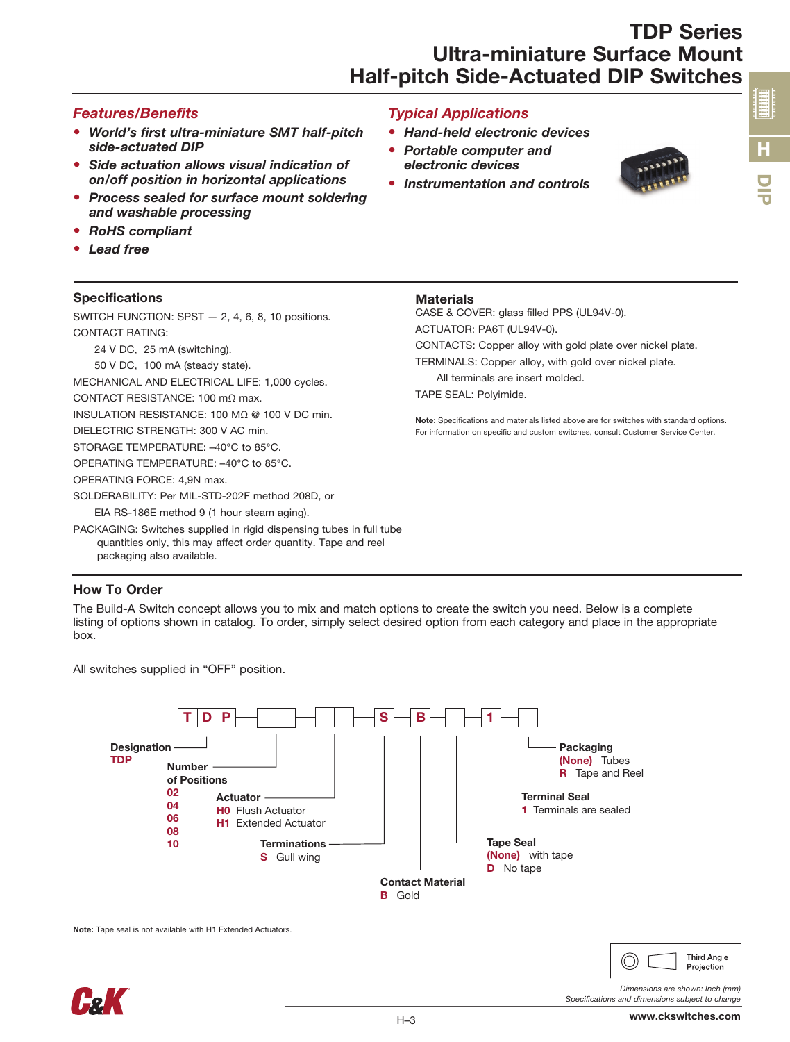## TDP Series Ultra-miniature Surface Mount Half-pitch Side-Actuated DIP Switches

#### *Features/Benefits*

- *World's first ultra-miniature SMT half-pitch side-actuated DIP*
- *Side actuation allows visual indication of on/off position in horizontal applications*
- *Process sealed for surface mount soldering and washable processing*
- *RoHS compliant*
- *Lead free*

#### **Specifications**

#### SWITCH FUNCTION: SPST — 2, 4, 6, 8, 10 positions. CONTACT RATING:

24 V DC, 25 mA (switching).

50 V DC, 100 mA (steady state).

MECHANICAL AND ELECTRICAL LIFE: 1,000 cycles.

CONTACT RESISTANCE: 100 mΩ max.

INSULATION RESISTANCE: 100 MΩ @ 100 V DC min.

DIELECTRIC STRENGTH: 300 V AC min.

STORAGE TEMPERATURE: –40°C to 85°C.

OPERATING TEMPERATURE: –40°C to 85°C.

OPERATING FORCE: 4,9N max.

SOLDERABILITY: Per MIL-STD-202F method 208D, or EIA RS-186E method 9 (1 hour steam aging).

PACKAGING: Switches supplied in rigid dispensing tubes in full tube quantities only, this may affect order quantity. Tape and reel packaging also available.

#### How To Order

The Build-A Switch concept allows you to mix and match options to create the switch you need. Below is a complete listing of options shown in catalog. To order, simply select desired option from each category and place in the appropriate box.

All switches supplied in "OFF" position.



Note: Tape seal is not available with H1 Extended Actuators.



## *Typical Applications*

- *Hand-held electronic devices*
- *Portable computer and electronic devices*
- *Instrumentation and controls*



## **Materials**

CASE & COVER: glass filled PPS (UL94V-0). ACTUATOR: PA6T (UL94V-0).

CONTACTS: Copper alloy with gold plate over nickel plate.

TERMINALS: Copper alloy, with gold over nickel plate.

All terminals are insert molded.

TAPE SEAL: Polyimide.

Note: Specifications and materials listed above are for switches with standard options. For information on specific and custom switches, consult Customer Service Center.

**Third Angle** Projection

*Specifications and dimensions subject to change*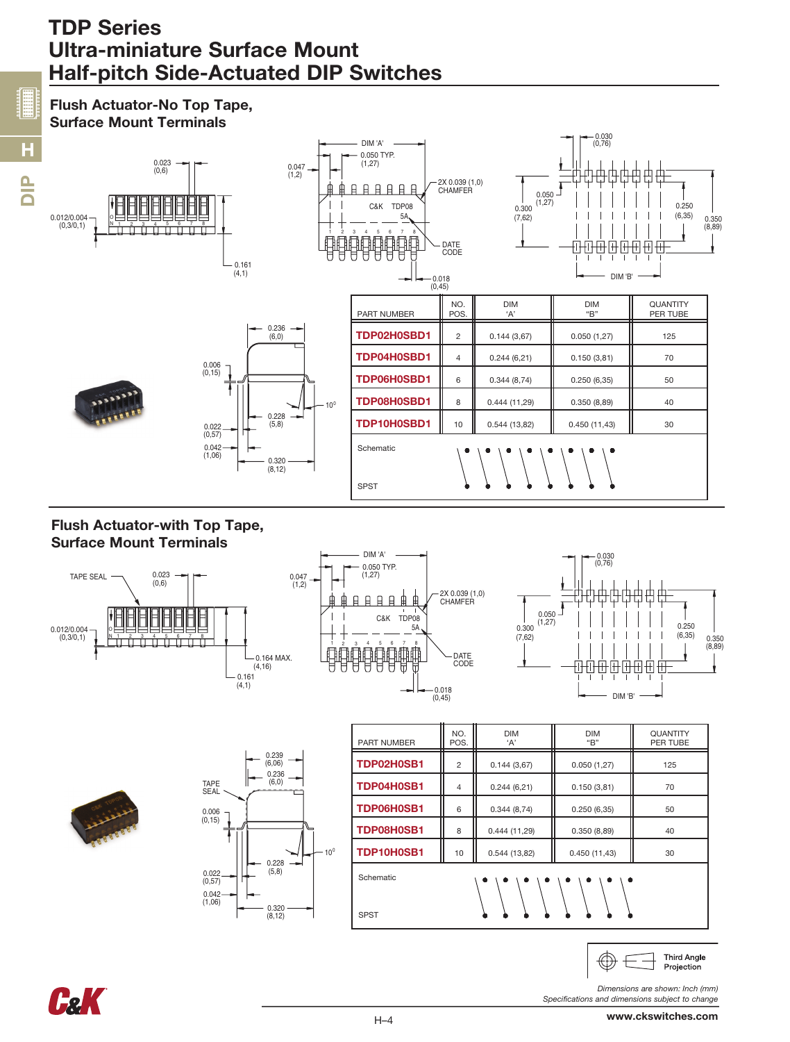## TDP Series Ultra-miniature Surface Mount Half-pitch Side-Actuated DIP Switches

#### Surface Mount Terminals 0.030 (0,76) DIM 'A' 0.050 TYP. (1,27) 0.023 0.047 (1,2)  $(0.6)$ 2X 0.039 (1,0) <u> 日日日日日日</u> **CHAMFER**  $0.050$ <br>(1,27)  $0.250$ <br>(6,35)  $0.300$ C&K TDP08 0.012/0.004 5A I (7,62) 6,35) <sub>0.350</sub><br>(8,89)  $(0,3/0,1)$ N 1 2 3 4 5 6 7 8 10 9 8 6 F DATE<br>CODE  $\overline{\mathrm{H}}$ 田田  $\mathbf{I}$  $0.161$  $(4,1)$ DIM 'B'  $-0.018$ (0,45) NO. DIM DIM DIM QUANTITY<br>POS. +A' DERTUBE PART NUMBER  $\parallel$  POS.  $\parallel$  'A'  $\parallel$  "B" 0.236 **TDP02H0SBD1** 2 0.144 (3,67) 0.050 (1,27) 125  $(6,0)$ **TDP04H0SBD1** 4  $\begin{bmatrix} 4 & 0.244 & (6,21) \end{bmatrix}$  0.150 (3,81)  $\begin{bmatrix} 1 & 70 \end{bmatrix}$ 0.006 (0,15) **TDP06H0SBD1** 6  $\begin{bmatrix} 6 & 0.344 & (8.74) \end{bmatrix}$  0.250 (6,35)  $\begin{bmatrix} 6 & 0.250 & (6.35) \end{bmatrix}$  50 **TDP08H0SBD1** 8  $\begin{bmatrix} 8 & 0.444 & (11,29) \\ 0.444 & (11,29) \end{bmatrix}$  0.350 (8,89)  $\begin{bmatrix} 1 & 40 \\ 0 & 40 \end{bmatrix}$  $10<sup>1</sup>$ 0.228 **TDP10H0SBD1** | 10 | 0.544 (13,82) | 0.450 (11,43) | 30 (5,8) 0.022 (0,57)  $0.042$ <br> $(1,06)$ Schematic  $(1,06)$  0.320<br>(8,12) SPST

## Flush Actuator-with Top Tape, Surface Mount Terminals

Flush Actuator-No Top Tape,

 $\frac{p}{D}$ 

H











| <b>PART NUMBER</b>                                                                | NO.<br>POS.    | <b>DIM</b><br>'A' | <b>DIM</b><br>"B" | <b>QUANTITY</b><br>PER TUBE |
|-----------------------------------------------------------------------------------|----------------|-------------------|-------------------|-----------------------------|
| TDP02H0SB1                                                                        | 2              | 0.144(3,67)       | 0.050(1,27)       | 125                         |
| TDP04H0SB1                                                                        | $\overline{4}$ | 0.244(6,21)       | 0.150(3,81)       | 70                          |
| TDP06H0SB1                                                                        | 6              | 0.344(8,74)       | 0.250(6.35)       | 50                          |
| TDP08H0SB1                                                                        | 8              | 0.444(11,29)      | 0.350(8,89)       | 40                          |
| TDP10H0SB1                                                                        | 10             | 0.544(13,82)      | 0.450(11,43)      | 30                          |
| Schematic<br>$\bullet$<br>⋒<br>$\bullet$<br>❶<br>$\bullet$<br>0<br>❶<br>$\bullet$ |                |                   |                   |                             |
| <b>SPST</b>                                                                       |                |                   |                   |                             |



*Dimensions are shown: Inch (mm) Specifications and dimensions subject to change*

 $\overline{\phantom{a}}$ 

 $\bigoplus$ 

www.ckswitches.com

**Third Angle** 

Projection